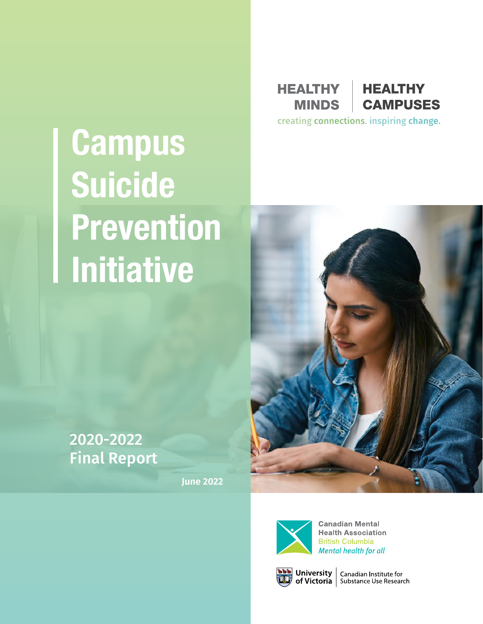# **Campus Suicide Prevention Initiative**

**HEALTHY MINDS** 



creating connections. inspiring change.





**Canadian Mental Health Association British Columbia** Mental health for all



**NAM** University | Canadian Institute for<br> **UD** of Victoria | Substance Use Research

## 2020-2022 Final Report

**June 2022**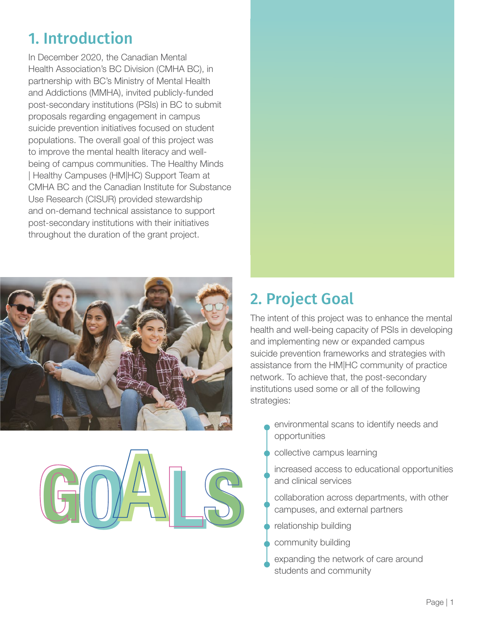# 1. Introduction

In December 2020, the Canadian Mental Health Association's BC Division (CMHA BC), in partnership with BC's Ministry of Mental Health and Addictions (MMHA), invited publicly-funded post-secondary institutions (PSIs) in BC to submit proposals regarding engagement in campus suicide prevention initiatives focused on student populations. The overall goal of this project was to improve the mental health literacy and wellbeing of campus communities. The Healthy Minds | Healthy Campuses (HM|HC) Support Team at CMHA BC and the Canadian Institute for Substance Use Research (CISUR) provided stewardship and on-demand technical assistance to support post-secondary institutions with their initiatives throughout the duration of the grant project.





# 2. Project Goal

The intent of this project was to enhance the mental health and well-being capacity of PSIs in developing and implementing new or expanded campus suicide prevention frameworks and strategies with assistance from the HM|HC community of practice network. To achieve that, the post-secondary institutions used some or all of the following strategies:

- environmental scans to identify needs and opportunities
- collective campus learning
- increased access to educational opportunities and clinical services
- collaboration across departments, with other campuses, and external partners
- relationship building
- community building
- expanding the network of care around students and community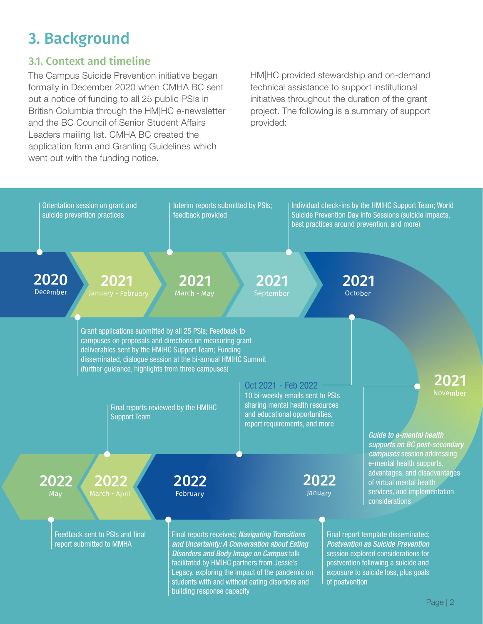# 3. Background

#### 3.1. Context and timeline

The Campus Suicide Prevention initiative began formally in December 2020 when CMHA BC sent out a notice of funding to all 25 public PSIs in British Columbia through the HM|HC e-newsletter and the BC Council of Senior Student Affairs Leaders mailing list. CMHA BC created the application form and Granting Guidelines which went out with the funding notice.

HM|HC provided stewardship and on-demand technical assistance to support institutional initiatives throughout the duration of the grant project. The following is a summary of support provided:

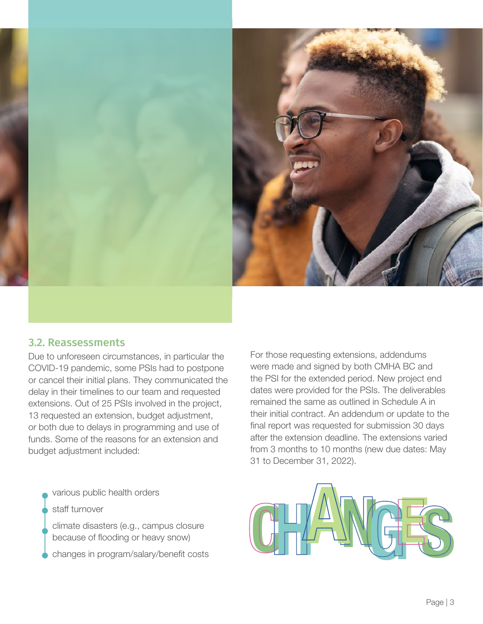



#### 3.2. Reassessments

Due to unforeseen circumstances, in particular the COVID-19 pandemic, some PSIs had to postpone or cancel their initial plans. They communicated the delay in their timelines to our team and requested extensions. Out of 25 PSIs involved in the project, 13 requested an extension, budget adjustment, or both due to delays in programming and use of funds. Some of the reasons for an extension and budget adjustment included:

various public health orders

staff turnover

climate disasters (e.g., campus closure because of flooding or heavy snow)

For those requesting extensions, addendums were made and signed by both CMHA BC and the PSI for the extended period. New project end dates were provided for the PSIs. The deliverables remained the same as outlined in Schedule A in their initial contract. An addendum or update to the final report was requested for submission 30 days after the extension deadline. The extensions varied from 3 months to 10 months (new due dates: May 31 to December 31, 2022).

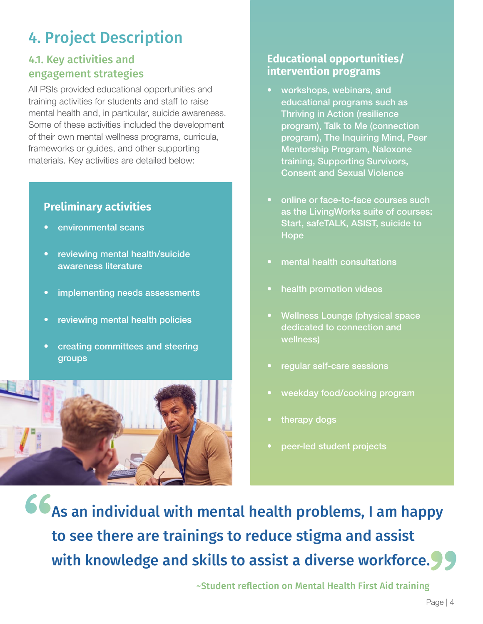# 4. Project Description

#### 4.1. Key activities and engagement strategies

All PSIs provided educational opportunities and training activities for students and staff to raise mental health and, in particular, suicide awareness. Some of these activities included the development of their own mental wellness programs, curricula, frameworks or guides, and other supporting materials. Key activities are detailed below:

#### **Preliminary activities**

- environmental scans
- reviewing mental health/suicide awareness literature
- implementing needs assessments
- reviewing mental health policies
- creating committees and steering groups



#### **Educational opportunities/ intervention programs**

- workshops, webinars, and educational programs such as Thriving in Action (resilience program), Talk to Me (connection program), The Inquiring Mind, Peer Mentorship Program, Naloxone training, Supporting Survivors, Consent and Sexual Violence
- online or face-to-face courses such as the LivingWorks suite of courses: Start, safeTALK, ASIST, suicide to Hope
- mental health consultations
- health promotion videos
- Wellness Lounge (physical space dedicated to connection and wellness)
- regular self-care sessions
- weekday food/cooking program
- therapy dogs
- peer-led student projects

" As an individual with mental health problems, I am happy to see there are trainings to reduce stigma and assist to see there are trainings to reduce stigma and assist<br>with knowledge and skills to assist a diverse workforce.

~Student reflection on Mental Health First Aid training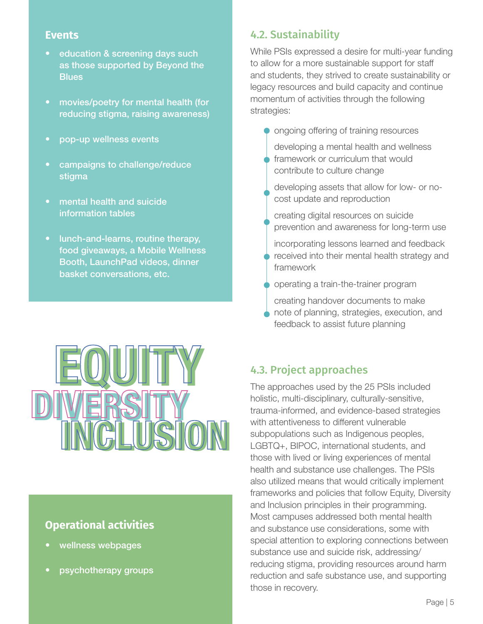- education & screening days such as those supported by Beyond the **Blues**
- movies/poetry for mental health (for reducing stigma, raising awareness)
- pop-up wellness events
- campaigns to challenge/reduce stigma
- mental health and suicide information tables
- lunch-and-learns, routine therapy, food giveaways, a Mobile Wellness Booth, LaunchPad videos, dinner basket conversations, etc.



## **Operational activities**

- wellness webpages
- psychotherapy groups

### **Events Exercise 2.2. Sustainability**

While PSIs expressed a desire for multi-year funding to allow for a more sustainable support for staff and students, they strived to create sustainability or legacy resources and build capacity and continue momentum of activities through the following strategies:

- **O** ongoing offering of training resources developing a mental health and wellness framework or curriculum that would contribute to culture change
	- developing assets that allow for low- or nocost update and reproduction
	- creating digital resources on suicide prevention and awareness for long-term use
	- incorporating lessons learned and feedback received into their mental health strategy and framework
- operating a train-the-trainer program
- creating handover documents to make note of planning, strategies, execution, and feedback to assist future planning

## 4.3. Project approaches

The approaches used by the 25 PSIs included holistic, multi-disciplinary, culturally-sensitive, trauma-informed, and evidence-based strategies with attentiveness to different vulnerable subpopulations such as Indigenous peoples, LGBTQ+, BIPOC, international students, and those with lived or living experiences of mental health and substance use challenges. The PSIs also utilized means that would critically implement frameworks and policies that follow Equity, Diversity and Inclusion principles in their programming. Most campuses addressed both mental health and substance use considerations, some with special attention to exploring connections between substance use and suicide risk, addressing/ reducing stigma, providing resources around harm reduction and safe substance use, and supporting those in recovery.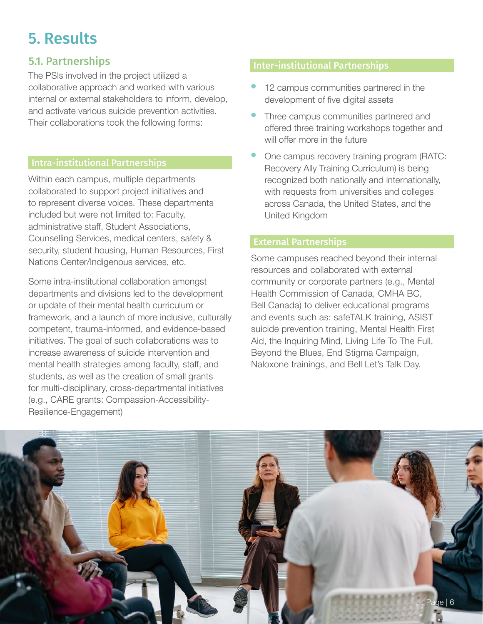# 5. Results

#### 5.1. Partnerships

The PSIs involved in the project utilized a collaborative approach and worked with various internal or external stakeholders to inform, develop, and activate various suicide prevention activities. Their collaborations took the following forms:

#### Intra-institutional Partnerships

Within each campus, multiple departments collaborated to support project initiatives and to represent diverse voices. These departments included but were not limited to: Faculty, administrative staff, Student Associations, Counselling Services, medical centers, safety & security, student housing, Human Resources, First Nations Center/Indigenous services, etc.

Some intra-institutional collaboration amongst departments and divisions led to the development or update of their mental health curriculum or framework, and a launch of more inclusive, culturally competent, trauma-informed, and evidence-based initiatives. The goal of such collaborations was to increase awareness of suicide intervention and mental health strategies among faculty, staff, and students, as well as the creation of small grants for multi-disciplinary, cross-departmental initiatives (e.g., CARE grants: Compassion-Accessibility-Resilience-Engagement)

#### Inter-institutional Partnerships

- 12 campus communities partnered in the development of five digital assets
- Three campus communities partnered and offered three training workshops together and will offer more in the future
- One campus recovery training program (RATC: Recovery Ally Training Curriculum) is being recognized both nationally and internationally, with requests from universities and colleges across Canada, the United States, and the United Kingdom

#### External Partnerships

Some campuses reached beyond their internal resources and collaborated with external community or corporate partners (e.g., Mental Health Commission of Canada, CMHA BC, Bell Canada) to deliver educational programs and events such as: safeTALK training, ASIST suicide prevention training, Mental Health First Aid, the Inquiring Mind, Living Life To The Full, Beyond the Blues, End Stigma Campaign, Naloxone trainings, and Bell Let's Talk Day.

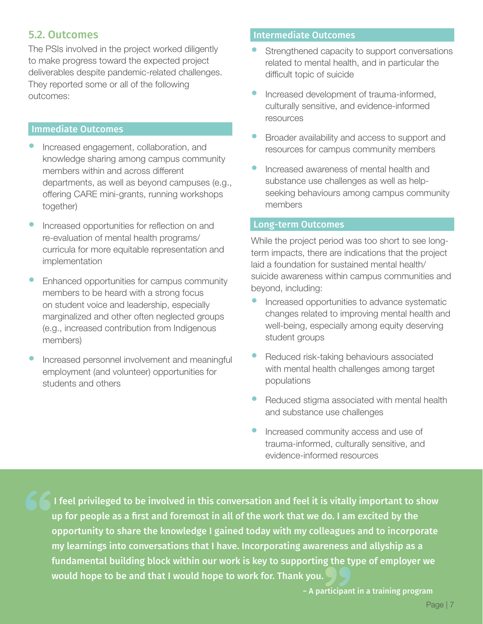#### 5.2. Outcomes

The PSIs involved in the project worked diligently to make progress toward the expected project deliverables despite pandemic-related challenges. They reported some or all of the following outcomes:

#### Immediate Outcomes

- Increased engagement, collaboration, and knowledge sharing among campus community members within and across different departments, as well as beyond campuses (e.g., offering CARE mini-grants, running workshops together)
- Increased opportunities for reflection on and re-evaluation of mental health programs/ curricula for more equitable representation and implementation
- Enhanced opportunities for campus community members to be heard with a strong focus on student voice and leadership, especially marginalized and other often neglected groups (e.g., increased contribution from Indigenous members)
- Increased personnel involvement and meaningful employment (and volunteer) opportunities for students and others

#### Intermediate Outcomes

- Strengthened capacity to support conversations related to mental health, and in particular the difficult topic of suicide
- Increased development of trauma-informed, culturally sensitive, and evidence-informed resources
- Broader availability and access to support and resources for campus community members
- Increased awareness of mental health and substance use challenges as well as helpseeking behaviours among campus community members

#### Long-term Outcomes

While the project period was too short to see longterm impacts, there are indications that the project laid a foundation for sustained mental health/ suicide awareness within campus communities and beyond, including:

- Increased opportunities to advance systematic changes related to improving mental health and well-being, especially among equity deserving student groups
- Reduced risk-taking behaviours associated with mental health challenges among target populations
- Reduced stigma associated with mental health and substance use challenges
- Increased community access and use of trauma-informed, culturally sensitive, and evidence-informed resources

 I feel privileged to be involved in this conversation and feel it is vitally important to show up for people as a first and foremost in all of the work that we do. I am excited by the opportunity to share the knowledge I gained today with my colleagues and to incorporate my learnings into conversations that I have. Incorporating awareness and allyship as a fundamental building block within our work is key to supporting the type of employer we would hope to be and that I would have. Incorporating awareness a<br>fundamental building block within our work is key to supporting the ty<br>would hope to be and that I would hope to work for. Thank you.

~ A participant in a training program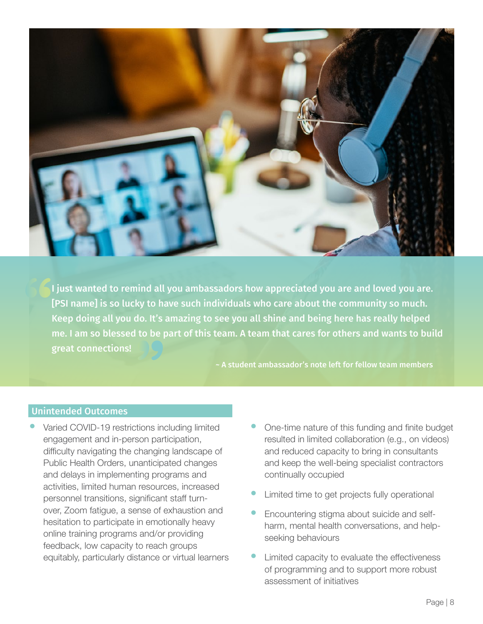

**66** I just wanted to remind all you ambassadors how appreciated you are and loved you are. [PSI name] is so lucky to have such individuals who care about the community so much. Keep doing all you do. It's amazing to see you all shine and being here has really helped<br>me. I am so blessed to be part of this team. A team that cares for others and wants to bu<br>great connections! me. I am so blessed to be part of this team. A team that cares for others and wants to build

~ A student ambassador's note left for fellow team members

#### Unintended Outcomes

- Varied COVID-19 restrictions including limited engagement and in-person participation, difficulty navigating the changing landscape of Public Health Orders, unanticipated changes and delays in implementing programs and activities, limited human resources, increased personnel transitions, significant staff turnover, Zoom fatigue, a sense of exhaustion and hesitation to participate in emotionally heavy online training programs and/or providing feedback, low capacity to reach groups equitably, particularly distance or virtual learners
- One-time nature of this funding and finite budget resulted in limited collaboration (e.g., on videos) and reduced capacity to bring in consultants and keep the well-being specialist contractors continually occupied
- Limited time to get projects fully operational
- Encountering stigma about suicide and selfharm, mental health conversations, and helpseeking behaviours
- Limited capacity to evaluate the effectiveness of programming and to support more robust assessment of initiatives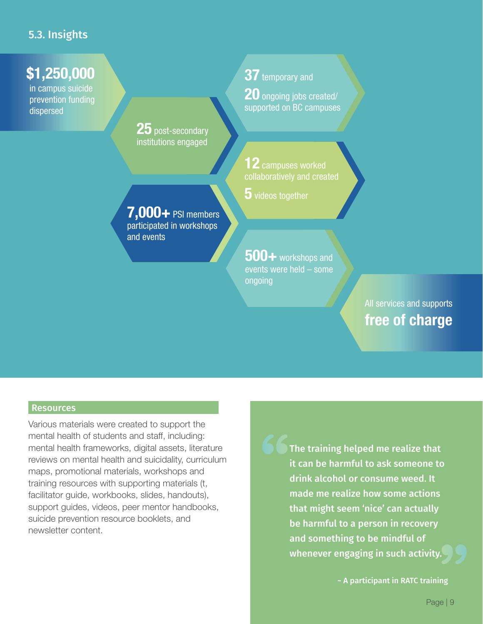#### 5.3. Insights

## \$1,250,000

in campus suicide prevention funding dispersed

> 25 post-secondary institutions engaged

7,000+ PSI members participated in workshops and events

37 temporary and

**20** ongoing jobs created/ supported on BC campuses

 ${\bf 12}$  campuses worked collaboratively and created

**5** videos together

500+ workshops and events were held – some ongoing

> All services and supports free of charge

#### **Resources**

Various materials were created to support the mental health of students and staff, including: mental health frameworks, digital assets, literature reviews on mental health and suicidality, curriculum maps, promotional materials, workshops and training resources with supporting materials (t, facilitator guide, workbooks, slides, handouts), support guides, videos, peer mentor handbooks, suicide prevention resource booklets, and newsletter content.

The training helped me realize that it can be harmful to ask someone to drink alcohol or consume weed. It made me realize how some actions that might seem 'nice' can actually be harmful to a person in recovery and something to be mindful of whenever engaging in such activity.

~ A participant in RATC training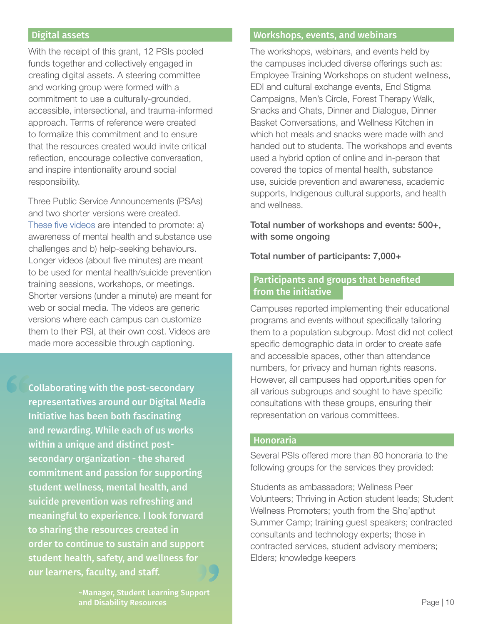With the receipt of this grant, 12 PSIs pooled funds together and collectively engaged in creating digital assets. A steering committee and working group were formed with a commitment to use a culturally-grounded, accessible, intersectional, and trauma-informed approach. Terms of reference were created to formalize this commitment and to ensure that the resources created would invite critical reflection, encourage collective conversation, and inspire intentionality around social responsibility.

Three Public Service Announcements (PSAs) and two shorter versions were created. [These five videos](https://healthycampuses.ca/our-projects/campus-suicide-prevention/) are intended to promote: a) awareness of mental health and substance use challenges and b) help-seeking behaviours. Longer videos (about five minutes) are meant to be used for mental health/suicide prevention training sessions, workshops, or meetings. Shorter versions (under a minute) are meant for web or social media. The videos are generic versions where each campus can customize them to their PSI, at their own cost. Videos are made more accessible through captioning.

 $\begin{array}{c}\n66 \\
\hline\n6 \\
1 \\
\hline\n1 \\
3\n\end{array}$ Collaborating with the post-secondary representatives around our Digital Media Initiative has been both fascinating and rewarding. While each of us works within a unique and distinct postsecondary organization - the shared commitment and passion for supporting student wellness, mental health, and suicide prevention was refreshing and meaningful to experience. I look forward to sharing the resources created in order to continue to sustain and support<br>student health, safety, and wellness for<br>our learners, faculty, and staff. student health, safety, and wellness for

#### Digital assets Workshops, events, and webinars

The workshops, webinars, and events held by the campuses included diverse offerings such as: Employee Training Workshops on student wellness, EDI and cultural exchange events, End Stigma Campaigns, Men's Circle, Forest Therapy Walk, Snacks and Chats, Dinner and Dialogue, Dinner Basket Conversations, and Wellness Kitchen in which hot meals and snacks were made with and handed out to students. The workshops and events used a hybrid option of online and in-person that covered the topics of mental health, substance use, suicide prevention and awareness, academic supports, Indigenous cultural supports, and health and wellness.

#### Total number of workshops and events: 500+, with some ongoing

Total number of participants: 7,000+

#### Participants and groups that benefited from the initiative

Campuses reported implementing their educational programs and events without specifically tailoring them to a population subgroup. Most did not collect specific demographic data in order to create safe and accessible spaces, other than attendance numbers, for privacy and human rights reasons. However, all campuses had opportunities open for all various subgroups and sought to have specific consultations with these groups, ensuring their representation on various committees.

#### Honoraria

Several PSIs offered more than 80 honoraria to the following groups for the services they provided:

Students as ambassadors; Wellness Peer Volunteers; Thriving in Action student leads; Student Wellness Promoters; youth from the Shq'apthut Summer Camp; training guest speakers; contracted consultants and technology experts; those in contracted services, student advisory members; Elders; knowledge keepers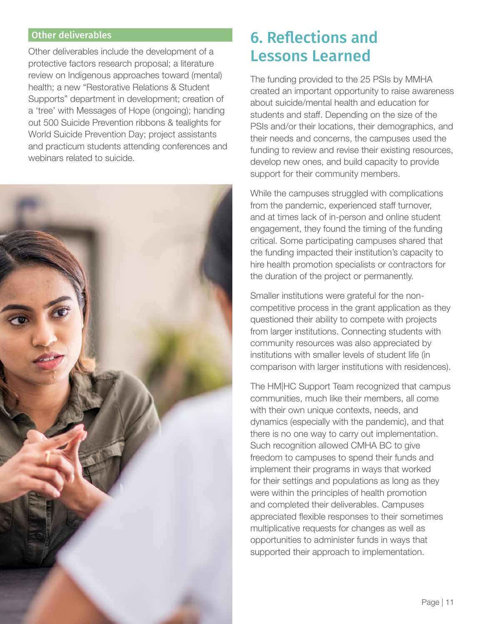Other deliverables include the development of a protective factors research proposal; a literature review on Indigenous approaches toward (mental) health; a new "Restorative Relations & Student Supports" department in development; creation of a 'tree' with Messages of Hope (ongoing); handing out 500 Suicide Prevention ribbons & tealights for World Suicide Prevention Day; project assistants and practicum students attending conferences and webinars related to suicide.



## Other deliverables **6. Reflections and** Lessons Learned

The funding provided to the 25 PSIs by MMHA created an important opportunity to raise awareness about suicide/mental health and education for students and staff. Depending on the size of the PSIs and/or their locations, their demographics, and their needs and concerns, the campuses used the funding to review and revise their existing resources, develop new ones, and build capacity to provide support for their community members.

While the campuses struggled with complications from the pandemic, experienced staff turnover, and at times lack of in-person and online student engagement, they found the timing of the funding critical. Some participating campuses shared that the funding impacted their institution's capacity to hire health promotion specialists or contractors for the duration of the project or permanently.

Smaller institutions were grateful for the noncompetitive process in the grant application as they questioned their ability to compete with projects from larger institutions. Connecting students with community resources was also appreciated by institutions with smaller levels of student life (in comparison with larger institutions with residences).

The HM|HC Support Team recognized that campus communities, much like their members, all come with their own unique contexts, needs, and dynamics (especially with the pandemic), and that there is no one way to carry out implementation. Such recognition allowed CMHA BC to give freedom to campuses to spend their funds and implement their programs in ways that worked for their settings and populations as long as they were within the principles of health promotion and completed their deliverables. Campuses appreciated flexible responses to their sometimes multiplicative requests for changes as well as opportunities to administer funds in ways that supported their approach to implementation.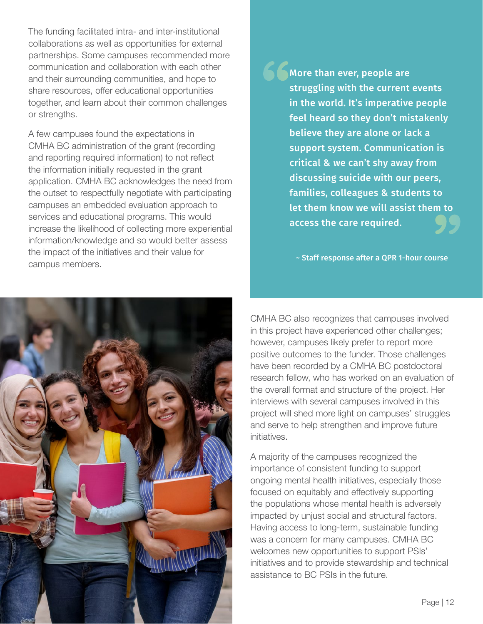The funding facilitated intra- and inter-institutional collaborations as well as opportunities for external partnerships. Some campuses recommended more communication and collaboration with each other and their surrounding communities, and hope to share resources, offer educational opportunities together, and learn about their common challenges or strengths.

A few campuses found the expectations in CMHA BC administration of the grant (recording and reporting required information) to not reflect the information initially requested in the grant application. CMHA BC acknowledges the need from the outset to respectfully negotiate with participating campuses an embedded evaluation approach to services and educational programs. This would increase the likelihood of collecting more experiential information/knowledge and so would better assess the impact of the initiatives and their value for campus members.



 $\frac{1}{10}$  on to  $\left( \frac{1}{2}\right)$ " More than ever, people are struggling with the current events in the world. It's imperative people feel heard so they don't mistakenly believe they are alone or lack a support system. Communication is critical & we can't shy away from discussing suicide with our peers, families, colleagues & students to let them know we will assist them to access the care required.

~ Staff response after a QPR 1-hour course

CMHA BC also recognizes that campuses involved in this project have experienced other challenges; however, campuses likely prefer to report more positive outcomes to the funder. Those challenges have been recorded by a CMHA BC postdoctoral research fellow, who has worked on an evaluation of the overall format and structure of the project. Her interviews with several campuses involved in this project will shed more light on campuses' struggles and serve to help strengthen and improve future initiatives.

A majority of the campuses recognized the importance of consistent funding to support ongoing mental health initiatives, especially those focused on equitably and effectively supporting the populations whose mental health is adversely impacted by unjust social and structural factors. Having access to long-term, sustainable funding was a concern for many campuses. CMHA BC welcomes new opportunities to support PSIs' initiatives and to provide stewardship and technical assistance to BC PSIs in the future.